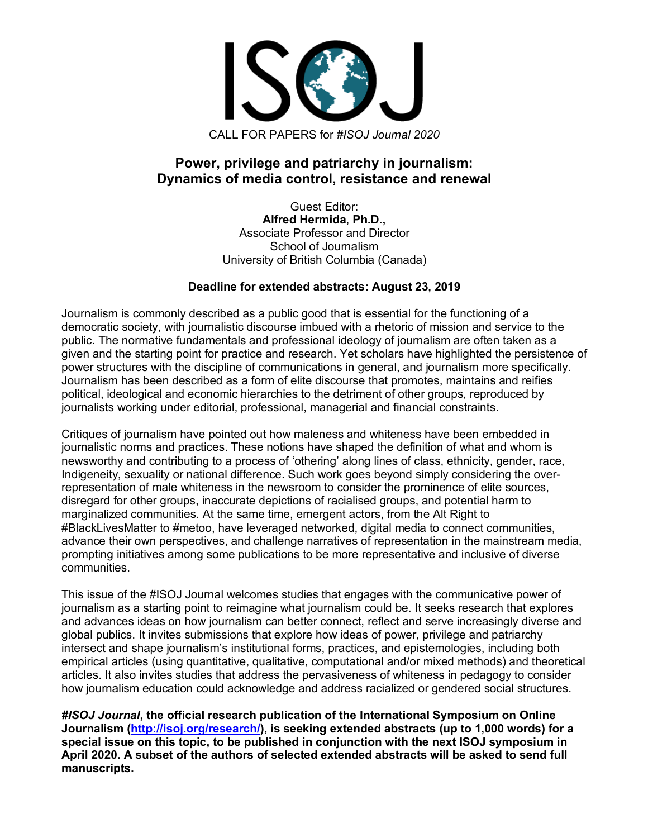

# **Power, privilege and patriarchy in journalism: Dynamics of media control, resistance and renewal**

Guest Editor: **Alfred Hermida**, **Ph.D.,** Associate Professor and Director School of Journalism University of British Columbia (Canada)

## **Deadline for extended abstracts: August 23, 2019**

Journalism is commonly described as a public good that is essential for the functioning of a democratic society, with journalistic discourse imbued with a rhetoric of mission and service to the public. The normative fundamentals and professional ideology of journalism are often taken as a given and the starting point for practice and research. Yet scholars have highlighted the persistence of power structures with the discipline of communications in general, and journalism more specifically. Journalism has been described as a form of elite discourse that promotes, maintains and reifies political, ideological and economic hierarchies to the detriment of other groups, reproduced by journalists working under editorial, professional, managerial and financial constraints.

Critiques of journalism have pointed out how maleness and whiteness have been embedded in journalistic norms and practices. These notions have shaped the definition of what and whom is newsworthy and contributing to a process of 'othering' along lines of class, ethnicity, gender, race, Indigeneity, sexuality or national difference. Such work goes beyond simply considering the overrepresentation of male whiteness in the newsroom to consider the prominence of elite sources, disregard for other groups, inaccurate depictions of racialised groups, and potential harm to marginalized communities. At the same time, emergent actors, from the Alt Right to #BlackLivesMatter to #metoo, have leveraged networked, digital media to connect communities, advance their own perspectives, and challenge narratives of representation in the mainstream media, prompting initiatives among some publications to be more representative and inclusive of diverse communities.

This issue of the #ISOJ Journal welcomes studies that engages with the communicative power of journalism as a starting point to reimagine what journalism could be. It seeks research that explores and advances ideas on how journalism can better connect, reflect and serve increasingly diverse and global publics. It invites submissions that explore how ideas of power, privilege and patriarchy intersect and shape journalism's institutional forms, practices, and epistemologies, including both empirical articles (using quantitative, qualitative, computational and/or mixed methods) and theoretical articles. It also invites studies that address the pervasiveness of whiteness in pedagogy to consider how journalism education could acknowledge and address racialized or gendered social structures.

*#ISOJ Journal***, the official research publication of the International Symposium on Online Journalism (http://isoj.org/research/), is seeking extended abstracts (up to 1,000 words) for a special issue on this topic, to be published in conjunction with the next ISOJ symposium in April 2020. A subset of the authors of selected extended abstracts will be asked to send full manuscripts.**